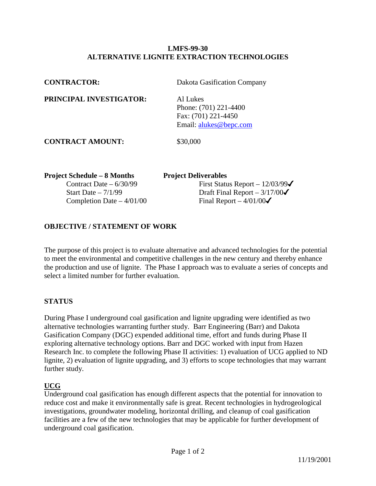#### **LMFS-99-30 ALTERNATIVE LIGNITE EXTRACTION TECHNOLOGIES**

| <b>Project Schedule – 8 Months</b> | <b>Project Deliverables</b>                                                        |  |
|------------------------------------|------------------------------------------------------------------------------------|--|
| <b>CONTRACT AMOUNT:</b>            | \$30,000                                                                           |  |
| PRINCIPAL INVESTIGATOR:            | Al Lukes<br>Phone: (701) 221-4400<br>Fax: (701) 221-4450<br>Email: alukes@bepc.com |  |
| <b>CONTRACTOR:</b>                 | Dakota Gasification Company                                                        |  |

Completion Date –  $4/01/00$  Final Report –  $4/01/00\checkmark$ 

Contract Date –  $6/30/99$  First Status Report –  $12/03/99\checkmark$ Start Date –  $7/1/99$  Draft Final Report –  $3/17/00\checkmark$ 

## **OBJECTIVE / STATEMENT OF WORK**

The purpose of this project is to evaluate alternative and advanced technologies for the potential to meet the environmental and competitive challenges in the new century and thereby enhance the production and use of lignite. The Phase I approach was to evaluate a series of concepts and select a limited number for further evaluation.

#### **STATUS**

During Phase I underground coal gasification and lignite upgrading were identified as two alternative technologies warranting further study. Barr Engineering (Barr) and Dakota Gasification Company (DGC) expended additional time, effort and funds during Phase II exploring alternative technology options. Barr and DGC worked with input from Hazen Research Inc. to complete the following Phase II activities: 1) evaluation of UCG applied to ND lignite, 2) evaluation of lignite upgrading, and 3) efforts to scope technologies that may warrant further study.

## **UCG**

Underground coal gasification has enough different aspects that the potential for innovation to reduce cost and make it environmentally safe is great. Recent technologies in hydrogeological investigations, groundwater modeling, horizontal drilling, and cleanup of coal gasification facilities are a few of the new technologies that may be applicable for further development of underground coal gasification.